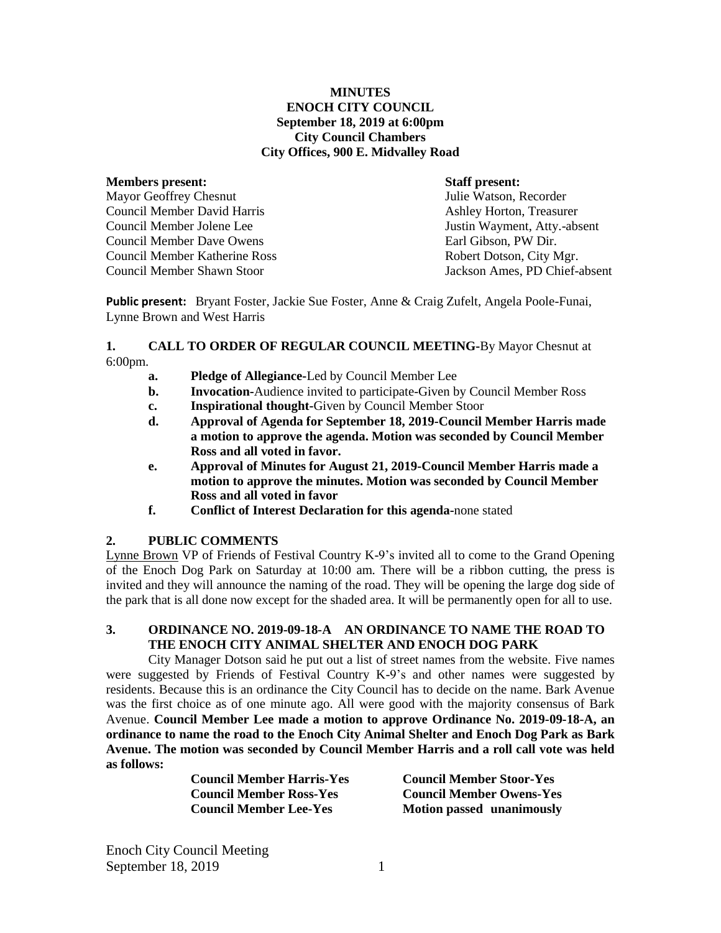### **MINUTES ENOCH CITY COUNCIL September 18, 2019 at 6:00pm City Council Chambers City Offices, 900 E. Midvalley Road**

#### **Members present: Staff present:**

Mayor Geoffrey Chesnut Tulie Watson, Recorder Council Member David Harris **Ashley Horton, Treasurer** Ashley Horton, Treasurer Council Member Jolene Lee Justin Wayment, Atty.-absent Council Member Dave Owens Council Member Katherine Ross Robert Dotson, City Mgr. Council Member Shawn Stoor Jackson Ames, PD Chief-absent

**Public present:** Bryant Foster, Jackie Sue Foster, Anne & Craig Zufelt, Angela Poole-Funai, Lynne Brown and West Harris

#### **1. CALL TO ORDER OF REGULAR COUNCIL MEETING-**By Mayor Chesnut at 6:00pm.

- **a. Pledge of Allegiance-**Led by Council Member Lee
- **b. Invocation-**Audience invited to participate-Given by Council Member Ross
- **c. Inspirational thought-**Given by Council Member Stoor
- **d. Approval of Agenda for September 18, 2019-Council Member Harris made a motion to approve the agenda. Motion was seconded by Council Member Ross and all voted in favor.**
- **e. Approval of Minutes for August 21, 2019-Council Member Harris made a motion to approve the minutes. Motion was seconded by Council Member Ross and all voted in favor**
- **f. Conflict of Interest Declaration for this agenda-**none stated

## **2. PUBLIC COMMENTS**

Lynne Brown VP of Friends of Festival Country K-9's invited all to come to the Grand Opening of the Enoch Dog Park on Saturday at 10:00 am. There will be a ribbon cutting, the press is invited and they will announce the naming of the road. They will be opening the large dog side of the park that is all done now except for the shaded area. It will be permanently open for all to use.

## **3. ORDINANCE NO. 2019-09-18-A AN ORDINANCE TO NAME THE ROAD TO THE ENOCH CITY ANIMAL SHELTER AND ENOCH DOG PARK**

City Manager Dotson said he put out a list of street names from the website. Five names were suggested by Friends of Festival Country K-9's and other names were suggested by residents. Because this is an ordinance the City Council has to decide on the name. Bark Avenue was the first choice as of one minute ago. All were good with the majority consensus of Bark Avenue. **Council Member Lee made a motion to approve Ordinance No. 2019-09-18-A, an ordinance to name the road to the Enoch City Animal Shelter and Enoch Dog Park as Bark Avenue. The motion was seconded by Council Member Harris and a roll call vote was held as follows:** 

| <b>Council Member Harris-Yes</b> |  |
|----------------------------------|--|
| <b>Council Member Ross-Yes</b>   |  |
| <b>Council Member Lee-Yes</b>    |  |

**Council Member Harris-Yes Council Member Stoor-Yes Council Member Ross-Yes Council Member Owens-Yes Motion passed unanimously** 

Enoch City Council Meeting September 18, 2019 1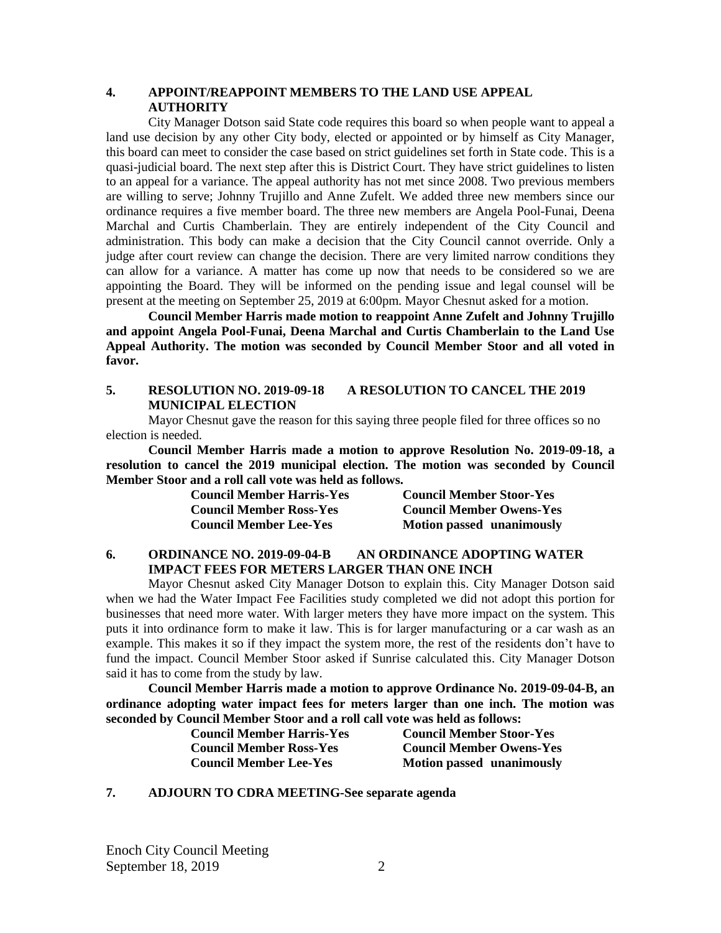### **4. APPOINT/REAPPOINT MEMBERS TO THE LAND USE APPEAL AUTHORITY**

City Manager Dotson said State code requires this board so when people want to appeal a land use decision by any other City body, elected or appointed or by himself as City Manager, this board can meet to consider the case based on strict guidelines set forth in State code. This is a quasi-judicial board. The next step after this is District Court. They have strict guidelines to listen to an appeal for a variance. The appeal authority has not met since 2008. Two previous members are willing to serve; Johnny Trujillo and Anne Zufelt. We added three new members since our ordinance requires a five member board. The three new members are Angela Pool-Funai, Deena Marchal and Curtis Chamberlain. They are entirely independent of the City Council and administration. This body can make a decision that the City Council cannot override. Only a judge after court review can change the decision. There are very limited narrow conditions they can allow for a variance. A matter has come up now that needs to be considered so we are appointing the Board. They will be informed on the pending issue and legal counsel will be present at the meeting on September 25, 2019 at 6:00pm. Mayor Chesnut asked for a motion.

**Council Member Harris made motion to reappoint Anne Zufelt and Johnny Trujillo and appoint Angela Pool-Funai, Deena Marchal and Curtis Chamberlain to the Land Use Appeal Authority. The motion was seconded by Council Member Stoor and all voted in favor.** 

#### **5. RESOLUTION NO. 2019-09-18 A RESOLUTION TO CANCEL THE 2019 MUNICIPAL ELECTION**

Mayor Chesnut gave the reason for this saying three people filed for three offices so no election is needed.

**Council Member Harris made a motion to approve Resolution No. 2019-09-18, a resolution to cancel the 2019 municipal election. The motion was seconded by Council Member Stoor and a roll call vote was held as follows.** 

| <b>Council Member Harris-Yes</b> | <b>Council Member Stoor-Yes</b>  |
|----------------------------------|----------------------------------|
| <b>Council Member Ross-Yes</b>   | <b>Council Member Owens-Yes</b>  |
| <b>Council Member Lee-Yes</b>    | <b>Motion passed unanimously</b> |

## **6. ORDINANCE NO. 2019-09-04-B AN ORDINANCE ADOPTING WATER IMPACT FEES FOR METERS LARGER THAN ONE INCH**

Mayor Chesnut asked City Manager Dotson to explain this. City Manager Dotson said when we had the Water Impact Fee Facilities study completed we did not adopt this portion for businesses that need more water. With larger meters they have more impact on the system. This puts it into ordinance form to make it law. This is for larger manufacturing or a car wash as an example. This makes it so if they impact the system more, the rest of the residents don't have to fund the impact. Council Member Stoor asked if Sunrise calculated this. City Manager Dotson said it has to come from the study by law.

**Council Member Harris made a motion to approve Ordinance No. 2019-09-04-B, an ordinance adopting water impact fees for meters larger than one inch. The motion was seconded by Council Member Stoor and a roll call vote was held as follows:** 

| <b>Council Member Harris-Yes</b> | Counc  |
|----------------------------------|--------|
| <b>Council Member Ross-Yes</b>   | Counc  |
| <b>Council Member Lee-Yes</b>    | Motion |

**Council Member Harris-Yes Council Member Stoor-Yes Council Member Ross-Yes Council Member Owens-Yes Council M Conserved unanimously** 

#### **7. ADJOURN TO CDRA MEETING-See separate agenda**

Enoch City Council Meeting September 18, 2019 2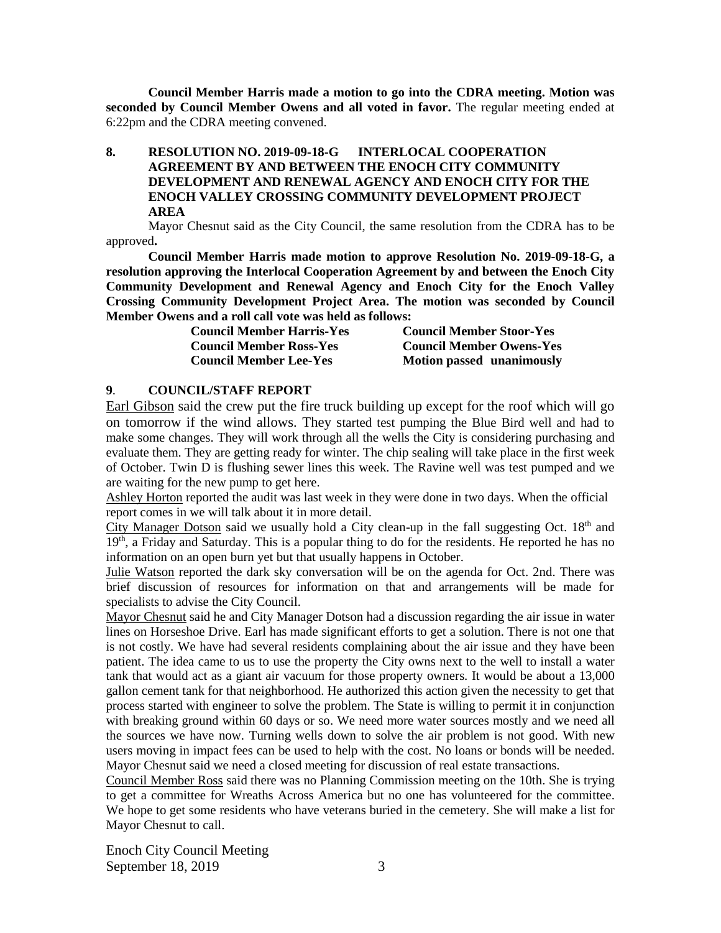**Council Member Harris made a motion to go into the CDRA meeting. Motion was seconded by Council Member Owens and all voted in favor.** The regular meeting ended at 6:22pm and the CDRA meeting convened.

## **8. RESOLUTION NO. 2019-09-18-G INTERLOCAL COOPERATION AGREEMENT BY AND BETWEEN THE ENOCH CITY COMMUNITY DEVELOPMENT AND RENEWAL AGENCY AND ENOCH CITY FOR THE ENOCH VALLEY CROSSING COMMUNITY DEVELOPMENT PROJECT AREA**

Mayor Chesnut said as the City Council, the same resolution from the CDRA has to be approved**.** 

**Council Member Harris made motion to approve Resolution No. 2019-09-18-G, a resolution approving the Interlocal Cooperation Agreement by and between the Enoch City Community Development and Renewal Agency and Enoch City for the Enoch Valley Crossing Community Development Project Area. The motion was seconded by Council Member Owens and a roll call vote was held as follows:**

| <b>Council Member Harris-Yes</b> | <b>Council Member Stoor-Yes</b>  |
|----------------------------------|----------------------------------|
| <b>Council Member Ross-Yes</b>   | <b>Council Member Owens-Yes</b>  |
| <b>Council Member Lee-Yes</b>    | <b>Motion passed unanimously</b> |

#### **9**. **COUNCIL/STAFF REPORT**

Earl Gibson said the crew put the fire truck building up except for the roof which will go on tomorrow if the wind allows. They started test pumping the Blue Bird well and had to make some changes. They will work through all the wells the City is considering purchasing and evaluate them. They are getting ready for winter. The chip sealing will take place in the first week of October. Twin D is flushing sewer lines this week. The Ravine well was test pumped and we are waiting for the new pump to get here.

Ashley Horton reported the audit was last week in they were done in two days. When the official report comes in we will talk about it in more detail.

City Manager Dotson said we usually hold a City clean-up in the fall suggesting Oct.  $18<sup>th</sup>$  and 19<sup>th</sup>, a Friday and Saturday. This is a popular thing to do for the residents. He reported he has no information on an open burn yet but that usually happens in October.

Julie Watson reported the dark sky conversation will be on the agenda for Oct. 2nd. There was brief discussion of resources for information on that and arrangements will be made for specialists to advise the City Council.

Mayor Chesnut said he and City Manager Dotson had a discussion regarding the air issue in water lines on Horseshoe Drive. Earl has made significant efforts to get a solution. There is not one that is not costly. We have had several residents complaining about the air issue and they have been patient. The idea came to us to use the property the City owns next to the well to install a water tank that would act as a giant air vacuum for those property owners. It would be about a 13,000 gallon cement tank for that neighborhood. He authorized this action given the necessity to get that process started with engineer to solve the problem. The State is willing to permit it in conjunction with breaking ground within 60 days or so. We need more water sources mostly and we need all the sources we have now. Turning wells down to solve the air problem is not good. With new users moving in impact fees can be used to help with the cost. No loans or bonds will be needed. Mayor Chesnut said we need a closed meeting for discussion of real estate transactions.

Council Member Ross said there was no Planning Commission meeting on the 10th. She is trying to get a committee for Wreaths Across America but no one has volunteered for the committee. We hope to get some residents who have veterans buried in the cemetery. She will make a list for Mayor Chesnut to call.

Enoch City Council Meeting September 18, 2019 3